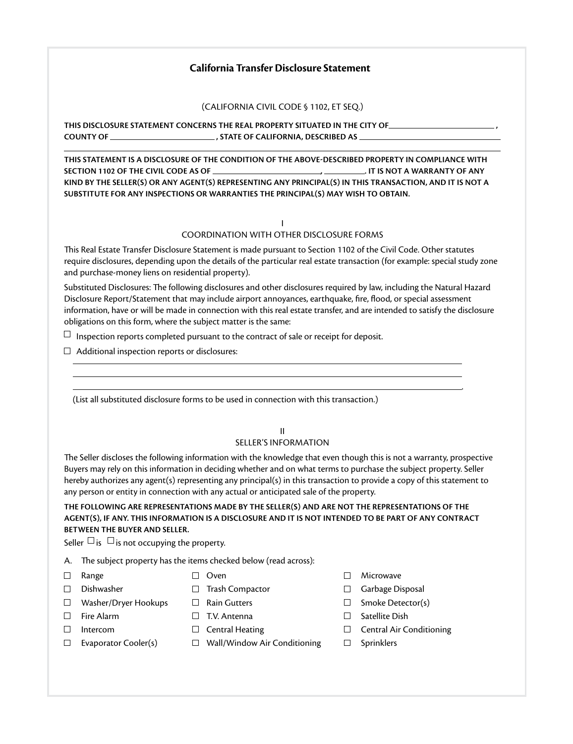# **California Transfer Disclosure Statement**

(California Civil Code § 1102, et seq.)

**This disclosure statement concerns the real property situated in the city of , county of , state of California, described as** 

**This statement is a disclosure of the condition of the above-described property in compliance with Section 1102 of the Civil Code as of , . It is not a warranty of any kind by the seller(s) or any agent(s) representing any principal(s) in this transaction, and it is not a substitute for any inspections or warranties the principal(s) may wish to obtain.**

#### I Coordination with Other Disclosure Forms

This Real Estate Transfer Disclosure Statement is made pursuant to Section 1102 of the Civil Code. Other statutes require disclosures, depending upon the details of the particular real estate transaction (for example: special study zone and purchase-money liens on residential property).

Substituted Disclosures: The following disclosures and other disclosures required by law, including the Natural Hazard Disclosure Report/Statement that may include airport annoyances, earthquake, fire, flood, or special assessment information, have or will be made in connection with this real estate transfer, and are intended to satisfy the disclosure obligations on this form, where the subject matter is the same:

 $\Box$  Inspection reports completed pursuant to the contract of sale or receipt for deposit.

 $\Box$  Additional inspection reports or disclosures:

(List all substituted disclosure forms to be used in connection with this transaction.)

### II

#### Seller's Information

The Seller discloses the following information with the knowledge that even though this is not a warranty, prospective Buyers may rely on this information in deciding whether and on what terms to purchase the subject property. Seller hereby authorizes any agent(s) representing any principal(s) in this transaction to provide a copy of this statement to any person or entity in connection with any actual or anticipated sale of the property.

## **THE FOLLOWING ARE REPRESENTATIONS MADE BY THE SELLER(S) AND ARE NOT THE REPRESENTATIONS OF THE AGENT(S), IF ANY. THIS INFORMATION IS A DISCLOSURE AND IT IS NOT INTENDED TO BE PART OF ANY CONTRACT BETWEEN THE BUYER AND SELLER.**

Seller  $\Box$  is  $\Box$  is not occupying the property.

- A. The subject property has the items checked below (read across):
- 
- 
- $\Box$  Washer/Dryer Hookups  $\Box$  Rain Gutters  $\Box$  Smoke Detector(s)
	-
- 
- 
- 
- $\square$  Evaporator Cooler(s)  $\square$  Wall/Window Air Conditioning  $\square$  Sprinklers
- $\Box$  Range  $\Box$  Oven  $\Box$  Microwave
- $\Box$  Dishwasher  $\Box$  Trash Compactor  $\Box$  Garbage Disposal
	-
- $\square$  Fire Alarm  $\square$  T.V. Antenna  $\square$  Satellite Dish
- Intercom Central Heating Central Air Conditioning

.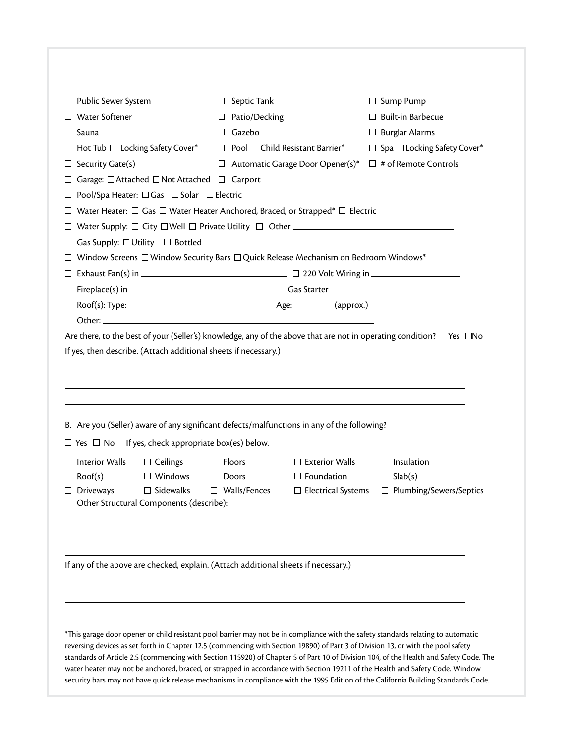| Septic Tank<br>⊔<br>Patio/Decking<br>Gazebo<br>$\perp$<br>⊔<br>⊔<br>Garage: □ Attached □ Not Attached □ Carport<br>Pool/Spa Heater: □ Gas □ Solar □ Electric<br>If yes, then describe. (Attach additional sheets if necessary.) | Pool □ Child Resistant Barrier*<br>Automatic Garage Door Opener(s)*<br>Water Heater: $\Box$ Gas $\Box$ Water Heater Anchored, Braced, or Strapped* $\Box$ Electric<br>$\Box$ Window Screens $\Box$ Window Security Bars $\Box$ Quick Release Mechanism on Bedroom Windows* | $\Box$ Sump Pump<br>$\Box$ Built-in Barbecue<br>$\Box$ Burglar Alarms<br>$\Box$ Spa $\Box$ Locking Safety Cover*<br>$\Box$ # of Remote Controls $\_\_$<br>Are there, to the best of your (Seller's) knowledge, any of the above that are not in operating condition? □ Yes □ No                                                                                                                                                                                                    |
|---------------------------------------------------------------------------------------------------------------------------------------------------------------------------------------------------------------------------------|----------------------------------------------------------------------------------------------------------------------------------------------------------------------------------------------------------------------------------------------------------------------------|------------------------------------------------------------------------------------------------------------------------------------------------------------------------------------------------------------------------------------------------------------------------------------------------------------------------------------------------------------------------------------------------------------------------------------------------------------------------------------|
|                                                                                                                                                                                                                                 |                                                                                                                                                                                                                                                                            |                                                                                                                                                                                                                                                                                                                                                                                                                                                                                    |
|                                                                                                                                                                                                                                 |                                                                                                                                                                                                                                                                            |                                                                                                                                                                                                                                                                                                                                                                                                                                                                                    |
|                                                                                                                                                                                                                                 |                                                                                                                                                                                                                                                                            |                                                                                                                                                                                                                                                                                                                                                                                                                                                                                    |
|                                                                                                                                                                                                                                 |                                                                                                                                                                                                                                                                            |                                                                                                                                                                                                                                                                                                                                                                                                                                                                                    |
|                                                                                                                                                                                                                                 |                                                                                                                                                                                                                                                                            |                                                                                                                                                                                                                                                                                                                                                                                                                                                                                    |
|                                                                                                                                                                                                                                 |                                                                                                                                                                                                                                                                            |                                                                                                                                                                                                                                                                                                                                                                                                                                                                                    |
|                                                                                                                                                                                                                                 |                                                                                                                                                                                                                                                                            |                                                                                                                                                                                                                                                                                                                                                                                                                                                                                    |
|                                                                                                                                                                                                                                 |                                                                                                                                                                                                                                                                            |                                                                                                                                                                                                                                                                                                                                                                                                                                                                                    |
|                                                                                                                                                                                                                                 |                                                                                                                                                                                                                                                                            |                                                                                                                                                                                                                                                                                                                                                                                                                                                                                    |
|                                                                                                                                                                                                                                 |                                                                                                                                                                                                                                                                            |                                                                                                                                                                                                                                                                                                                                                                                                                                                                                    |
|                                                                                                                                                                                                                                 |                                                                                                                                                                                                                                                                            |                                                                                                                                                                                                                                                                                                                                                                                                                                                                                    |
|                                                                                                                                                                                                                                 |                                                                                                                                                                                                                                                                            |                                                                                                                                                                                                                                                                                                                                                                                                                                                                                    |
|                                                                                                                                                                                                                                 |                                                                                                                                                                                                                                                                            |                                                                                                                                                                                                                                                                                                                                                                                                                                                                                    |
|                                                                                                                                                                                                                                 |                                                                                                                                                                                                                                                                            |                                                                                                                                                                                                                                                                                                                                                                                                                                                                                    |
|                                                                                                                                                                                                                                 |                                                                                                                                                                                                                                                                            |                                                                                                                                                                                                                                                                                                                                                                                                                                                                                    |
| $\Box$ Yes $\Box$ No If yes, check appropriate box(es) below.                                                                                                                                                                   |                                                                                                                                                                                                                                                                            |                                                                                                                                                                                                                                                                                                                                                                                                                                                                                    |
|                                                                                                                                                                                                                                 |                                                                                                                                                                                                                                                                            | $\Box$ Insulation                                                                                                                                                                                                                                                                                                                                                                                                                                                                  |
| $\Box$ Doors                                                                                                                                                                                                                    | $\Box$ Foundation                                                                                                                                                                                                                                                          | $\Box$ Slab(s)                                                                                                                                                                                                                                                                                                                                                                                                                                                                     |
| $\Box$ Walls/Fences<br>$\Box$ Other Structural Components (describe):                                                                                                                                                           | $\Box$ Electrical Systems                                                                                                                                                                                                                                                  | $\Box$ Plumbing/Sewers/Septics                                                                                                                                                                                                                                                                                                                                                                                                                                                     |
|                                                                                                                                                                                                                                 |                                                                                                                                                                                                                                                                            |                                                                                                                                                                                                                                                                                                                                                                                                                                                                                    |
|                                                                                                                                                                                                                                 |                                                                                                                                                                                                                                                                            |                                                                                                                                                                                                                                                                                                                                                                                                                                                                                    |
|                                                                                                                                                                                                                                 | $\Box$ Floors                                                                                                                                                                                                                                                              | B. Are you (Seller) aware of any significant defects/malfunctions in any of the following?<br>$\Box$ Exterior Walls<br>If any of the above are checked, explain. (Attach additional sheets if necessary.)<br>*This garage door opener or child resistant pool barrier may not be in compliance with the safety standards relating to automatic<br>reversing devices as set forth in Chapter 12.5 (commencing with Section 19890) of Part 3 of Division 13, or with the pool safety |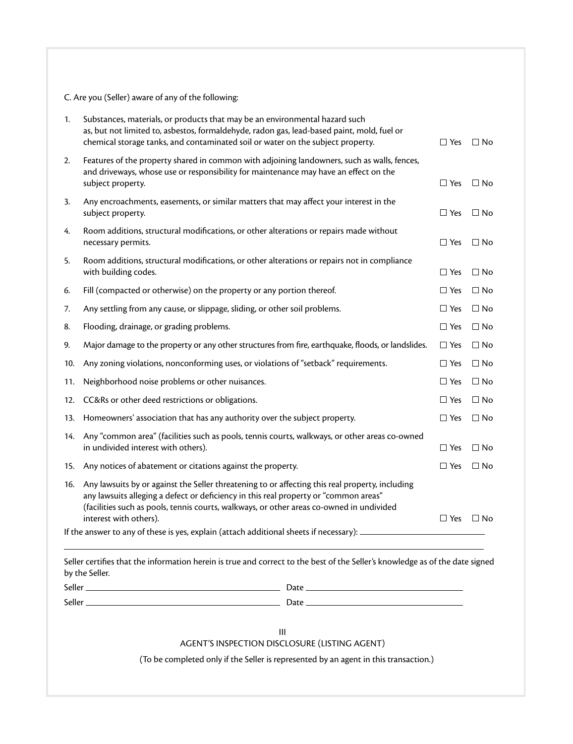### C. Are you (Seller) aware of any of the following:

| 1.  | Substances, materials, or products that may be an environmental hazard such<br>as, but not limited to, asbestos, formaldehyde, radon gas, lead-based paint, mold, fuel or<br>chemical storage tanks, and contaminated soil or water on the subject property.                                                  | $\Box$ Yes | $\Box$ No |
|-----|---------------------------------------------------------------------------------------------------------------------------------------------------------------------------------------------------------------------------------------------------------------------------------------------------------------|------------|-----------|
| 2.  | Features of the property shared in common with adjoining landowners, such as walls, fences,<br>and driveways, whose use or responsibility for maintenance may have an effect on the<br>subject property.                                                                                                      | $\Box$ Yes | $\Box$ No |
| 3.  | Any encroachments, easements, or similar matters that may affect your interest in the<br>subject property.                                                                                                                                                                                                    | $\Box$ Yes | $\Box$ No |
| 4.  | Room additions, structural modifications, or other alterations or repairs made without<br>necessary permits.                                                                                                                                                                                                  | $\Box$ Yes | $\Box$ No |
| 5.  | Room additions, structural modifications, or other alterations or repairs not in compliance<br>with building codes.                                                                                                                                                                                           | $\Box$ Yes | $\Box$ No |
| 6.  | Fill (compacted or otherwise) on the property or any portion thereof.                                                                                                                                                                                                                                         | $\Box$ Yes | $\Box$ No |
| 7.  | Any settling from any cause, or slippage, sliding, or other soil problems.                                                                                                                                                                                                                                    | $\Box$ Yes | $\Box$ No |
| 8.  | Flooding, drainage, or grading problems.                                                                                                                                                                                                                                                                      | $\Box$ Yes | $\Box$ No |
| 9.  | Major damage to the property or any other structures from fire, earthquake, floods, or landslides.                                                                                                                                                                                                            | $\Box$ Yes | $\Box$ No |
| 10. | Any zoning violations, nonconforming uses, or violations of "setback" requirements.                                                                                                                                                                                                                           | $\Box$ Yes | $\Box$ No |
| 11. | Neighborhood noise problems or other nuisances.                                                                                                                                                                                                                                                               | $\Box$ Yes | $\Box$ No |
| 12. | CC&Rs or other deed restrictions or obligations.                                                                                                                                                                                                                                                              | $\Box$ Yes | $\Box$ No |
| 13. | Homeowners' association that has any authority over the subject property.                                                                                                                                                                                                                                     | $\Box$ Yes | $\Box$ No |
| 14. | Any "common area" (facilities such as pools, tennis courts, walkways, or other areas co-owned<br>in undivided interest with others).                                                                                                                                                                          | $\Box$ Yes | $\Box$ No |
| 15. | Any notices of abatement or citations against the property.                                                                                                                                                                                                                                                   | $\Box$ Yes | $\Box$ No |
| 16. | Any lawsuits by or against the Seller threatening to or affecting this real property, including<br>any lawsuits alleging a defect or deficiency in this real property or "common areas"<br>(facilities such as pools, tennis courts, walkways, or other areas co-owned in undivided<br>interest with others). | $\Box$ Yes | $\Box$ No |
|     | If the answer to any of these is yes, explain (attach additional sheets if necessary): _                                                                                                                                                                                                                      |            |           |

Seller certifies that the information herein is true and correct to the best of the Seller's knowledge as of the date signed by the Seller.

| Seller | ∽<br>Dale |
|--------|-----------|
| Seller | –<br>Da.  |

III

Agent's Inspection Disclosure (Listing Agent)

(To be completed only if the Seller is represented by an agent in this transaction.)